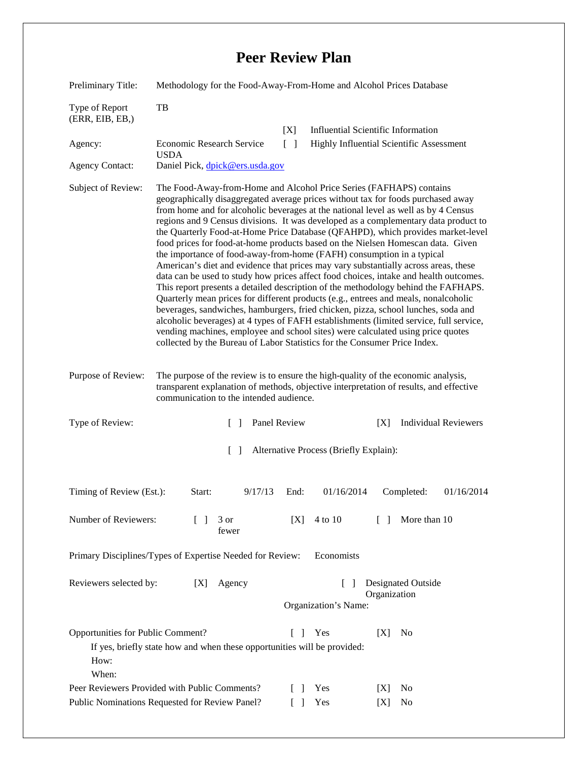## **Peer Review Plan**

| Preliminary Title:                                                                                                                                                       | Methodology for the Food-Away-From-Home and Alcohol Prices Database                                                                                                                                                                                                                                                                                                                                                                                                                                                                                                                                                                                                                                                                                                                                                                                                                                                                                                                                                                                                                                                                                                                                                                                                                             |      |            |                              |            |
|--------------------------------------------------------------------------------------------------------------------------------------------------------------------------|-------------------------------------------------------------------------------------------------------------------------------------------------------------------------------------------------------------------------------------------------------------------------------------------------------------------------------------------------------------------------------------------------------------------------------------------------------------------------------------------------------------------------------------------------------------------------------------------------------------------------------------------------------------------------------------------------------------------------------------------------------------------------------------------------------------------------------------------------------------------------------------------------------------------------------------------------------------------------------------------------------------------------------------------------------------------------------------------------------------------------------------------------------------------------------------------------------------------------------------------------------------------------------------------------|------|------------|------------------------------|------------|
| Type of Report<br>(ERR, EIB, EB, )                                                                                                                                       | TB                                                                                                                                                                                                                                                                                                                                                                                                                                                                                                                                                                                                                                                                                                                                                                                                                                                                                                                                                                                                                                                                                                                                                                                                                                                                                              |      |            |                              |            |
| Agency:                                                                                                                                                                  | <b>Influential Scientific Information</b><br>[X]<br>Highly Influential Scientific Assessment<br>Economic Research Service<br>$\Box$<br><b>USDA</b>                                                                                                                                                                                                                                                                                                                                                                                                                                                                                                                                                                                                                                                                                                                                                                                                                                                                                                                                                                                                                                                                                                                                              |      |            |                              |            |
| <b>Agency Contact:</b>                                                                                                                                                   | Daniel Pick, dpick@ers.usda.gov                                                                                                                                                                                                                                                                                                                                                                                                                                                                                                                                                                                                                                                                                                                                                                                                                                                                                                                                                                                                                                                                                                                                                                                                                                                                 |      |            |                              |            |
| Subject of Review:                                                                                                                                                       | The Food-Away-from-Home and Alcohol Price Series (FAFHAPS) contains<br>geographically disaggregated average prices without tax for foods purchased away<br>from home and for alcoholic beverages at the national level as well as by 4 Census<br>regions and 9 Census divisions. It was developed as a complementary data product to<br>the Quarterly Food-at-Home Price Database (QFAHPD), which provides market-level<br>food prices for food-at-home products based on the Nielsen Homescan data. Given<br>the importance of food-away-from-home (FAFH) consumption in a typical<br>American's diet and evidence that prices may vary substantially across areas, these<br>data can be used to study how prices affect food choices, intake and health outcomes.<br>This report presents a detailed description of the methodology behind the FAFHAPS.<br>Quarterly mean prices for different products (e.g., entrees and meals, nonalcoholic<br>beverages, sandwiches, hamburgers, fried chicken, pizza, school lunches, soda and<br>alcoholic beverages) at 4 types of FAFH establishments (limited service, full service,<br>vending machines, employee and school sites) were calculated using price quotes<br>collected by the Bureau of Labor Statistics for the Consumer Price Index. |      |            |                              |            |
| Purpose of Review:                                                                                                                                                       | The purpose of the review is to ensure the high-quality of the economic analysis,<br>transparent explanation of methods, objective interpretation of results, and effective<br>communication to the intended audience.                                                                                                                                                                                                                                                                                                                                                                                                                                                                                                                                                                                                                                                                                                                                                                                                                                                                                                                                                                                                                                                                          |      |            |                              |            |
| Type of Review:                                                                                                                                                          | Panel Review<br><b>Individual Reviewers</b><br>$\lceil \rceil$<br>[X]                                                                                                                                                                                                                                                                                                                                                                                                                                                                                                                                                                                                                                                                                                                                                                                                                                                                                                                                                                                                                                                                                                                                                                                                                           |      |            |                              |            |
| Alternative Process (Briefly Explain):<br>$\Box$                                                                                                                         |                                                                                                                                                                                                                                                                                                                                                                                                                                                                                                                                                                                                                                                                                                                                                                                                                                                                                                                                                                                                                                                                                                                                                                                                                                                                                                 |      |            |                              |            |
| Timing of Review (Est.):                                                                                                                                                 | 9/17/13<br>Start:                                                                                                                                                                                                                                                                                                                                                                                                                                                                                                                                                                                                                                                                                                                                                                                                                                                                                                                                                                                                                                                                                                                                                                                                                                                                               | End: | 01/16/2014 | Completed:                   | 01/16/2014 |
| Number of Reviewers:                                                                                                                                                     | $\mathbb{R}$<br>3 or<br>fewer                                                                                                                                                                                                                                                                                                                                                                                                                                                                                                                                                                                                                                                                                                                                                                                                                                                                                                                                                                                                                                                                                                                                                                                                                                                                   | [X]  | 4 to 10    | More than 10<br>$\mathbf{L}$ |            |
| Primary Disciplines/Types of Expertise Needed for Review:<br>Economists                                                                                                  |                                                                                                                                                                                                                                                                                                                                                                                                                                                                                                                                                                                                                                                                                                                                                                                                                                                                                                                                                                                                                                                                                                                                                                                                                                                                                                 |      |            |                              |            |
| Reviewers selected by:                                                                                                                                                   | Designated Outside<br>[X]<br>Agency<br>$\Box$<br>Organization<br>Organization's Name:                                                                                                                                                                                                                                                                                                                                                                                                                                                                                                                                                                                                                                                                                                                                                                                                                                                                                                                                                                                                                                                                                                                                                                                                           |      |            |                              |            |
| Opportunities for Public Comment?<br>Yes<br>N <sub>0</sub><br>$\Box$<br>[X]<br>If yes, briefly state how and when these opportunities will be provided:<br>How:<br>When: |                                                                                                                                                                                                                                                                                                                                                                                                                                                                                                                                                                                                                                                                                                                                                                                                                                                                                                                                                                                                                                                                                                                                                                                                                                                                                                 |      |            |                              |            |
| Peer Reviewers Provided with Public Comments?<br>Yes<br>$\Box$<br> X <br>Public Nominations Requested for Review Panel?<br>Yes<br>[X]<br>$\mathsf{L}$                    |                                                                                                                                                                                                                                                                                                                                                                                                                                                                                                                                                                                                                                                                                                                                                                                                                                                                                                                                                                                                                                                                                                                                                                                                                                                                                                 |      |            | N <sub>0</sub><br>No         |            |